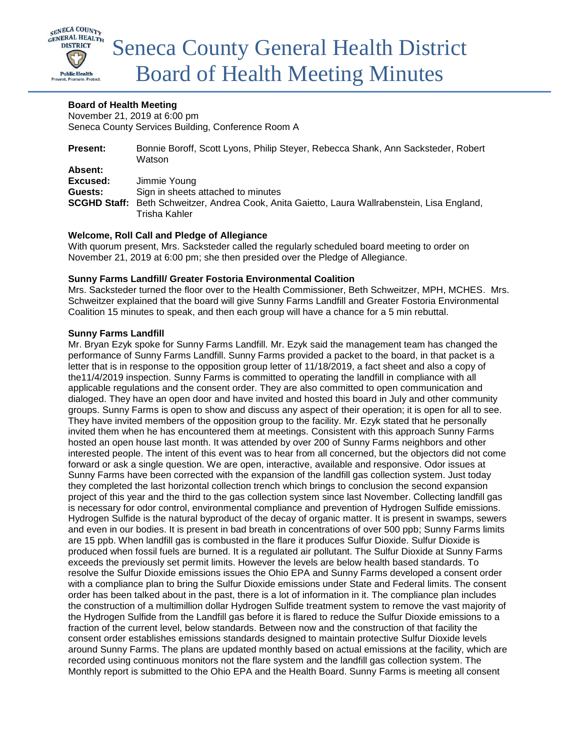

# **Board of Health Meeting**

November 21, 2019 at 6:00 pm Seneca County Services Building, Conference Room A

| <b>Present:</b> | Bonnie Boroff, Scott Lyons, Philip Steyer, Rebecca Shank, Ann Sacksteder, Robert<br>Watson           |
|-----------------|------------------------------------------------------------------------------------------------------|
| Absent:         |                                                                                                      |
| Excused:        | Jimmie Young                                                                                         |
| Guests:         | Sign in sheets attached to minutes                                                                   |
|                 | <b>SCGHD Staff:</b> Beth Schweitzer, Andrea Cook, Anita Gaietto, Laura Wallrabenstein, Lisa England, |
|                 | Trisha Kahler                                                                                        |

# **Welcome, Roll Call and Pledge of Allegiance**

With quorum present, Mrs. Sacksteder called the regularly scheduled board meeting to order on November 21, 2019 at 6:00 pm; she then presided over the Pledge of Allegiance.

### **Sunny Farms Landfill/ Greater Fostoria Environmental Coalition**

Mrs. Sacksteder turned the floor over to the Health Commissioner, Beth Schweitzer, MPH, MCHES. Mrs. Schweitzer explained that the board will give Sunny Farms Landfill and Greater Fostoria Environmental Coalition 15 minutes to speak, and then each group will have a chance for a 5 min rebuttal.

# **Sunny Farms Landfill**

Mr. Bryan Ezyk spoke for Sunny Farms Landfill. Mr. Ezyk said the management team has changed the performance of Sunny Farms Landfill. Sunny Farms provided a packet to the board, in that packet is a letter that is in response to the opposition group letter of 11/18/2019, a fact sheet and also a copy of the11/4/2019 inspection. Sunny Farms is committed to operating the landfill in compliance with all applicable regulations and the consent order. They are also committed to open communication and dialoged. They have an open door and have invited and hosted this board in July and other community groups. Sunny Farms is open to show and discuss any aspect of their operation; it is open for all to see. They have invited members of the opposition group to the facility. Mr. Ezyk stated that he personally invited them when he has encountered them at meetings. Consistent with this approach Sunny Farms hosted an open house last month. It was attended by over 200 of Sunny Farms neighbors and other interested people. The intent of this event was to hear from all concerned, but the objectors did not come forward or ask a single question. We are open, interactive, available and responsive. Odor issues at Sunny Farms have been corrected with the expansion of the landfill gas collection system. Just today they completed the last horizontal collection trench which brings to conclusion the second expansion project of this year and the third to the gas collection system since last November. Collecting landfill gas is necessary for odor control, environmental compliance and prevention of Hydrogen Sulfide emissions. Hydrogen Sulfide is the natural byproduct of the decay of organic matter. It is present in swamps, sewers and even in our bodies. It is present in bad breath in concentrations of over 500 ppb; Sunny Farms limits are 15 ppb. When landfill gas is combusted in the flare it produces Sulfur Dioxide. Sulfur Dioxide is produced when fossil fuels are burned. It is a regulated air pollutant. The Sulfur Dioxide at Sunny Farms exceeds the previously set permit limits. However the levels are below health based standards. To resolve the Sulfur Dioxide emissions issues the Ohio EPA and Sunny Farms developed a consent order with a compliance plan to bring the Sulfur Dioxide emissions under State and Federal limits. The consent order has been talked about in the past, there is a lot of information in it. The compliance plan includes the construction of a multimillion dollar Hydrogen Sulfide treatment system to remove the vast majority of the Hydrogen Sulfide from the Landfill gas before it is flared to reduce the Sulfur Dioxide emissions to a fraction of the current level, below standards. Between now and the construction of that facility the consent order establishes emissions standards designed to maintain protective Sulfur Dioxide levels around Sunny Farms. The plans are updated monthly based on actual emissions at the facility, which are recorded using continuous monitors not the flare system and the landfill gas collection system. The Monthly report is submitted to the Ohio EPA and the Health Board. Sunny Farms is meeting all consent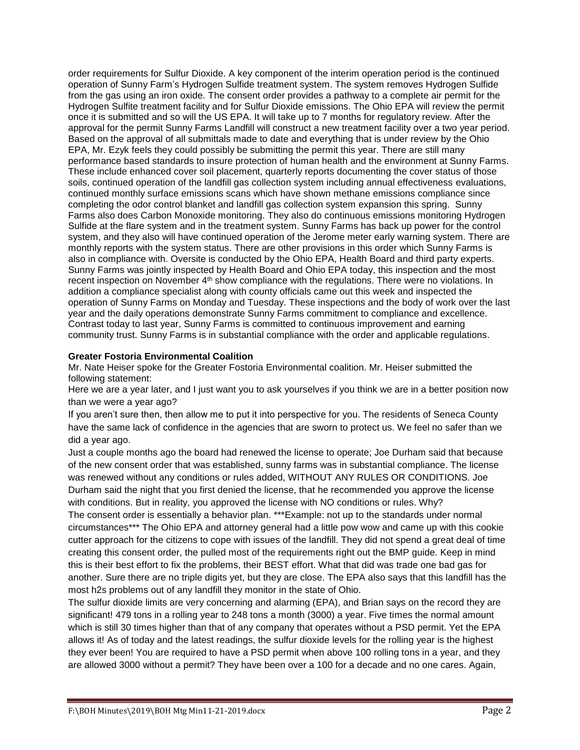order requirements for Sulfur Dioxide. A key component of the interim operation period is the continued operation of Sunny Farm's Hydrogen Sulfide treatment system. The system removes Hydrogen Sulfide from the gas using an iron oxide. The consent order provides a pathway to a complete air permit for the Hydrogen Sulfite treatment facility and for Sulfur Dioxide emissions. The Ohio EPA will review the permit once it is submitted and so will the US EPA. It will take up to 7 months for regulatory review. After the approval for the permit Sunny Farms Landfill will construct a new treatment facility over a two year period. Based on the approval of all submittals made to date and everything that is under review by the Ohio EPA, Mr. Ezyk feels they could possibly be submitting the permit this year. There are still many performance based standards to insure protection of human health and the environment at Sunny Farms. These include enhanced cover soil placement, quarterly reports documenting the cover status of those soils, continued operation of the landfill gas collection system including annual effectiveness evaluations, continued monthly surface emissions scans which have shown methane emissions compliance since completing the odor control blanket and landfill gas collection system expansion this spring. Sunny Farms also does Carbon Monoxide monitoring. They also do continuous emissions monitoring Hydrogen Sulfide at the flare system and in the treatment system. Sunny Farms has back up power for the control system, and they also will have continued operation of the Jerome meter early warning system. There are monthly reports with the system status. There are other provisions in this order which Sunny Farms is also in compliance with. Oversite is conducted by the Ohio EPA, Health Board and third party experts. Sunny Farms was jointly inspected by Health Board and Ohio EPA today, this inspection and the most recent inspection on November 4<sup>th</sup> show compliance with the regulations. There were no violations. In addition a compliance specialist along with county officials came out this week and inspected the operation of Sunny Farms on Monday and Tuesday. These inspections and the body of work over the last year and the daily operations demonstrate Sunny Farms commitment to compliance and excellence. Contrast today to last year, Sunny Farms is committed to continuous improvement and earning community trust. Sunny Farms is in substantial compliance with the order and applicable regulations.

# **Greater Fostoria Environmental Coalition**

Mr. Nate Heiser spoke for the Greater Fostoria Environmental coalition. Mr. Heiser submitted the following statement:

Here we are a year later, and I just want you to ask yourselves if you think we are in a better position now than we were a year ago?

If you aren't sure then, then allow me to put it into perspective for you. The residents of Seneca County have the same lack of confidence in the agencies that are sworn to protect us. We feel no safer than we did a year ago.

Just a couple months ago the board had renewed the license to operate; Joe Durham said that because of the new consent order that was established, sunny farms was in substantial compliance. The license was renewed without any conditions or rules added, WITHOUT ANY RULES OR CONDITIONS. Joe Durham said the night that you first denied the license, that he recommended you approve the license with conditions. But in reality, you approved the license with NO conditions or rules. Why?

The consent order is essentially a behavior plan. \*\*\*Example: not up to the standards under normal circumstances\*\*\* The Ohio EPA and attorney general had a little pow wow and came up with this cookie cutter approach for the citizens to cope with issues of the landfill. They did not spend a great deal of time creating this consent order, the pulled most of the requirements right out the BMP guide. Keep in mind this is their best effort to fix the problems, their BEST effort. What that did was trade one bad gas for another. Sure there are no triple digits yet, but they are close. The EPA also says that this landfill has the most h2s problems out of any landfill they monitor in the state of Ohio.

The sulfur dioxide limits are very concerning and alarming (EPA), and Brian says on the record they are significant! 479 tons in a rolling year to 248 tons a month (3000) a year. Five times the normal amount which is still 30 times higher than that of any company that operates without a PSD permit. Yet the EPA allows it! As of today and the latest readings, the sulfur dioxide levels for the rolling year is the highest they ever been! You are required to have a PSD permit when above 100 rolling tons in a year, and they are allowed 3000 without a permit? They have been over a 100 for a decade and no one cares. Again,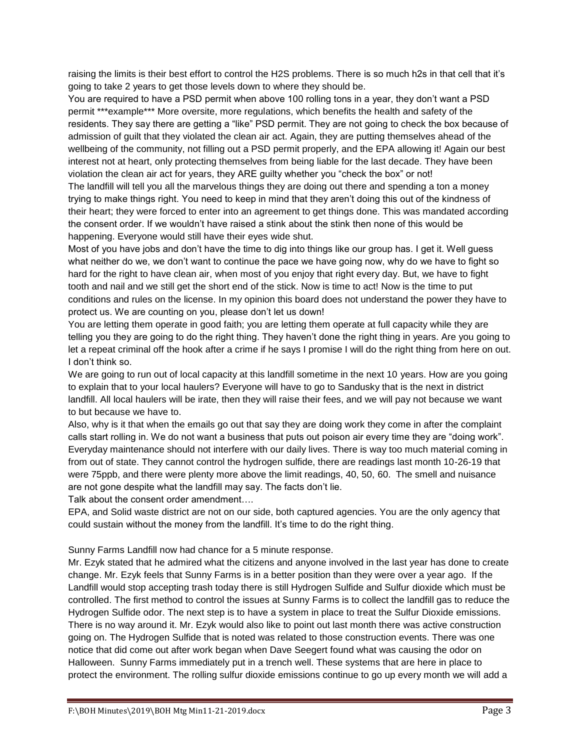raising the limits is their best effort to control the H2S problems. There is so much h2s in that cell that it's going to take 2 years to get those levels down to where they should be.

You are required to have a PSD permit when above 100 rolling tons in a year, they don't want a PSD permit \*\*\*example\*\*\* More oversite, more regulations, which benefits the health and safety of the residents. They say there are getting a "like" PSD permit. They are not going to check the box because of admission of guilt that they violated the clean air act. Again, they are putting themselves ahead of the wellbeing of the community, not filling out a PSD permit properly, and the EPA allowing it! Again our best interest not at heart, only protecting themselves from being liable for the last decade. They have been violation the clean air act for years, they ARE guilty whether you "check the box" or not!

The landfill will tell you all the marvelous things they are doing out there and spending a ton a money trying to make things right. You need to keep in mind that they aren't doing this out of the kindness of their heart; they were forced to enter into an agreement to get things done. This was mandated according the consent order. If we wouldn't have raised a stink about the stink then none of this would be happening. Everyone would still have their eyes wide shut.

Most of you have jobs and don't have the time to dig into things like our group has. I get it. Well guess what neither do we, we don't want to continue the pace we have going now, why do we have to fight so hard for the right to have clean air, when most of you enjoy that right every day. But, we have to fight tooth and nail and we still get the short end of the stick. Now is time to act! Now is the time to put conditions and rules on the license. In my opinion this board does not understand the power they have to protect us. We are counting on you, please don't let us down!

You are letting them operate in good faith; you are letting them operate at full capacity while they are telling you they are going to do the right thing. They haven't done the right thing in years. Are you going to let a repeat criminal off the hook after a crime if he says I promise I will do the right thing from here on out. I don't think so.

We are going to run out of local capacity at this landfill sometime in the next 10 years. How are you going to explain that to your local haulers? Everyone will have to go to Sandusky that is the next in district landfill. All local haulers will be irate, then they will raise their fees, and we will pay not because we want to but because we have to.

Also, why is it that when the emails go out that say they are doing work they come in after the complaint calls start rolling in. We do not want a business that puts out poison air every time they are "doing work". Everyday maintenance should not interfere with our daily lives. There is way too much material coming in from out of state. They cannot control the hydrogen sulfide, there are readings last month 10-26-19 that were 75ppb, and there were plenty more above the limit readings, 40, 50, 60. The smell and nuisance are not gone despite what the landfill may say. The facts don't lie.

Talk about the consent order amendment….

EPA, and Solid waste district are not on our side, both captured agencies. You are the only agency that could sustain without the money from the landfill. It's time to do the right thing.

### Sunny Farms Landfill now had chance for a 5 minute response.

Mr. Ezyk stated that he admired what the citizens and anyone involved in the last year has done to create change. Mr. Ezyk feels that Sunny Farms is in a better position than they were over a year ago. If the Landfill would stop accepting trash today there is still Hydrogen Sulfide and Sulfur dioxide which must be controlled. The first method to control the issues at Sunny Farms is to collect the landfill gas to reduce the Hydrogen Sulfide odor. The next step is to have a system in place to treat the Sulfur Dioxide emissions. There is no way around it. Mr. Ezyk would also like to point out last month there was active construction going on. The Hydrogen Sulfide that is noted was related to those construction events. There was one notice that did come out after work began when Dave Seegert found what was causing the odor on Halloween. Sunny Farms immediately put in a trench well. These systems that are here in place to protect the environment. The rolling sulfur dioxide emissions continue to go up every month we will add a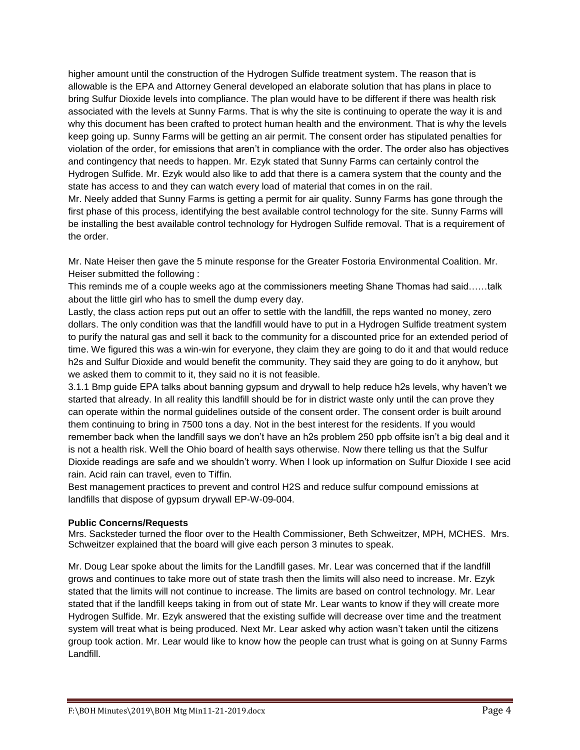higher amount until the construction of the Hydrogen Sulfide treatment system. The reason that is allowable is the EPA and Attorney General developed an elaborate solution that has plans in place to bring Sulfur Dioxide levels into compliance. The plan would have to be different if there was health risk associated with the levels at Sunny Farms. That is why the site is continuing to operate the way it is and why this document has been crafted to protect human health and the environment. That is why the levels keep going up. Sunny Farms will be getting an air permit. The consent order has stipulated penalties for violation of the order, for emissions that aren't in compliance with the order. The order also has objectives and contingency that needs to happen. Mr. Ezyk stated that Sunny Farms can certainly control the Hydrogen Sulfide. Mr. Ezyk would also like to add that there is a camera system that the county and the state has access to and they can watch every load of material that comes in on the rail. Mr. Neely added that Sunny Farms is getting a permit for air quality. Sunny Farms has gone through the

first phase of this process, identifying the best available control technology for the site. Sunny Farms will be installing the best available control technology for Hydrogen Sulfide removal. That is a requirement of the order.

Mr. Nate Heiser then gave the 5 minute response for the Greater Fostoria Environmental Coalition. Mr. Heiser submitted the following :

This reminds me of a couple weeks ago at the commissioners meeting Shane Thomas had said……talk about the little girl who has to smell the dump every day.

Lastly, the class action reps put out an offer to settle with the landfill, the reps wanted no money, zero dollars. The only condition was that the landfill would have to put in a Hydrogen Sulfide treatment system to purify the natural gas and sell it back to the community for a discounted price for an extended period of time. We figured this was a win-win for everyone, they claim they are going to do it and that would reduce h2s and Sulfur Dioxide and would benefit the community. They said they are going to do it anyhow, but we asked them to commit to it, they said no it is not feasible.

3.1.1 Bmp guide EPA talks about banning gypsum and drywall to help reduce h2s levels, why haven't we started that already. In all reality this landfill should be for in district waste only until the can prove they can operate within the normal guidelines outside of the consent order. The consent order is built around them continuing to bring in 7500 tons a day. Not in the best interest for the residents. If you would remember back when the landfill says we don't have an h2s problem 250 ppb offsite isn't a big deal and it is not a health risk. Well the Ohio board of health says otherwise. Now there telling us that the Sulfur Dioxide readings are safe and we shouldn't worry. When I look up information on Sulfur Dioxide I see acid rain. Acid rain can travel, even to Tiffin.

Best management practices to prevent and control H2S and reduce sulfur compound emissions at landfills that dispose of gypsum drywall EP-W-09-004.

### **Public Concerns/Requests**

Mrs. Sacksteder turned the floor over to the Health Commissioner, Beth Schweitzer, MPH, MCHES. Mrs. Schweitzer explained that the board will give each person 3 minutes to speak.

Mr. Doug Lear spoke about the limits for the Landfill gases. Mr. Lear was concerned that if the landfill grows and continues to take more out of state trash then the limits will also need to increase. Mr. Ezyk stated that the limits will not continue to increase. The limits are based on control technology. Mr. Lear stated that if the landfill keeps taking in from out of state Mr. Lear wants to know if they will create more Hydrogen Sulfide. Mr. Ezyk answered that the existing sulfide will decrease over time and the treatment system will treat what is being produced. Next Mr. Lear asked why action wasn't taken until the citizens group took action. Mr. Lear would like to know how the people can trust what is going on at Sunny Farms Landfill.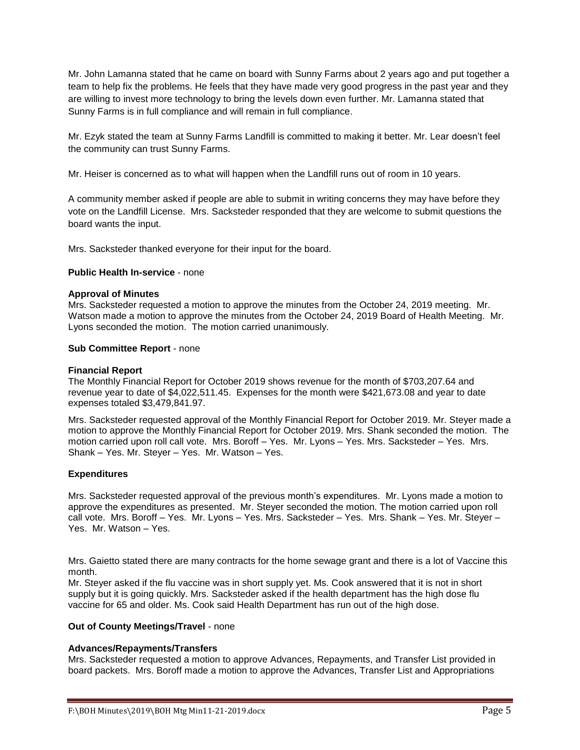Mr. John Lamanna stated that he came on board with Sunny Farms about 2 years ago and put together a team to help fix the problems. He feels that they have made very good progress in the past year and they are willing to invest more technology to bring the levels down even further. Mr. Lamanna stated that Sunny Farms is in full compliance and will remain in full compliance.

Mr. Ezyk stated the team at Sunny Farms Landfill is committed to making it better. Mr. Lear doesn't feel the community can trust Sunny Farms.

Mr. Heiser is concerned as to what will happen when the Landfill runs out of room in 10 years.

A community member asked if people are able to submit in writing concerns they may have before they vote on the Landfill License. Mrs. Sacksteder responded that they are welcome to submit questions the board wants the input.

Mrs. Sacksteder thanked everyone for their input for the board.

### **Public Health In-service** - none

### **Approval of Minutes**

Mrs. Sacksteder requested a motion to approve the minutes from the October 24, 2019 meeting. Mr. Watson made a motion to approve the minutes from the October 24, 2019 Board of Health Meeting. Mr. Lyons seconded the motion. The motion carried unanimously.

### **Sub Committee Report** - none

### **Financial Report**

The Monthly Financial Report for October 2019 shows revenue for the month of \$703,207.64 and revenue year to date of \$4,022,511.45. Expenses for the month were \$421,673.08 and year to date expenses totaled \$3,479,841.97.

Mrs. Sacksteder requested approval of the Monthly Financial Report for October 2019. Mr. Steyer made a motion to approve the Monthly Financial Report for October 2019. Mrs. Shank seconded the motion. The motion carried upon roll call vote. Mrs. Boroff – Yes. Mr. Lyons – Yes. Mrs. Sacksteder – Yes. Mrs. Shank – Yes. Mr. Steyer – Yes. Mr. Watson – Yes.

### **Expenditures**

Mrs. Sacksteder requested approval of the previous month's expenditures. Mr. Lyons made a motion to approve the expenditures as presented. Mr. Steyer seconded the motion. The motion carried upon roll call vote. Mrs. Boroff – Yes. Mr. Lyons – Yes. Mrs. Sacksteder – Yes. Mrs. Shank – Yes. Mr. Steyer – Yes. Mr. Watson – Yes.

Mrs. Gaietto stated there are many contracts for the home sewage grant and there is a lot of Vaccine this month.

Mr. Steyer asked if the flu vaccine was in short supply yet. Ms. Cook answered that it is not in short supply but it is going quickly. Mrs. Sacksteder asked if the health department has the high dose flu vaccine for 65 and older. Ms. Cook said Health Department has run out of the high dose.

### **Out of County Meetings/Travel** - none

### **Advances/Repayments/Transfers**

Mrs. Sacksteder requested a motion to approve Advances, Repayments, and Transfer List provided in board packets. Mrs. Boroff made a motion to approve the Advances, Transfer List and Appropriations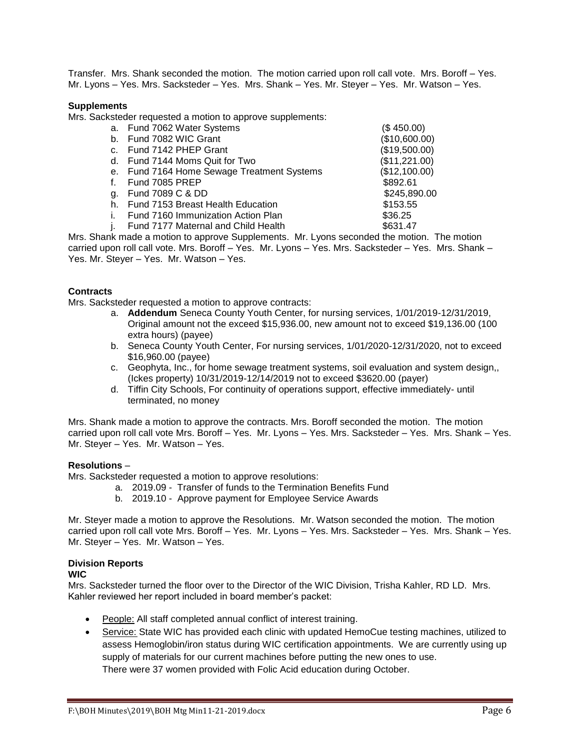Transfer. Mrs. Shank seconded the motion. The motion carried upon roll call vote. Mrs. Boroff – Yes. Mr. Lyons – Yes. Mrs. Sacksteder – Yes. Mrs. Shank – Yes. Mr. Steyer – Yes. Mr. Watson – Yes.

### **Supplements**

Mrs. Sacksteder requested a motion to approve supplements:

|                                         | (\$450.00)                 |
|-----------------------------------------|----------------------------|
| Fund 7082 WIC Grant                     | (\$10,600.00)              |
| Fund 7142 PHEP Grant                    | (\$19,500.00)              |
| Fund 7144 Moms Quit for Two             | (\$11,221.00)              |
| Fund 7164 Home Sewage Treatment Systems | (\$12,100.00)              |
| Fund 7085 PREP                          | \$892.61                   |
| Fund 7089 C & DD                        | \$245,890.00               |
| Fund 7153 Breast Health Education       | \$153.55                   |
| Fund 7160 Immunization Action Plan      | \$36.25                    |
| Fund 7177 Maternal and Child Health     | \$631.47                   |
|                                         | a. Fund 7062 Water Systems |

Mrs. Shank made a motion to approve Supplements. Mr. Lyons seconded the motion. The motion carried upon roll call vote. Mrs. Boroff – Yes. Mr. Lyons – Yes. Mrs. Sacksteder – Yes. Mrs. Shank – Yes. Mr. Steyer – Yes. Mr. Watson – Yes.

# **Contracts**

Mrs. Sacksteder requested a motion to approve contracts:

- a. **Addendum** Seneca County Youth Center, for nursing services, 1/01/2019-12/31/2019, Original amount not the exceed \$15,936.00, new amount not to exceed \$19,136.00 (100 extra hours) (payee)
- b. Seneca County Youth Center, For nursing services, 1/01/2020-12/31/2020, not to exceed \$16,960.00 (payee)
- c. Geophyta, Inc., for home sewage treatment systems, soil evaluation and system design,, (Ickes property) 10/31/2019-12/14/2019 not to exceed \$3620.00 (payer)
- d. Tiffin City Schools, For continuity of operations support, effective immediately- until terminated, no money

Mrs. Shank made a motion to approve the contracts. Mrs. Boroff seconded the motion. The motion carried upon roll call vote Mrs. Boroff – Yes. Mr. Lyons – Yes. Mrs. Sacksteder – Yes. Mrs. Shank – Yes. Mr. Steyer – Yes. Mr. Watson – Yes.

### **Resolutions** –

Mrs. Sacksteder requested a motion to approve resolutions:

- a. 2019.09 Transfer of funds to the Termination Benefits Fund
- b. 2019.10 Approve payment for Employee Service Awards

Mr. Steyer made a motion to approve the Resolutions. Mr. Watson seconded the motion. The motion carried upon roll call vote Mrs. Boroff – Yes. Mr. Lyons – Yes. Mrs. Sacksteder – Yes. Mrs. Shank – Yes. Mr. Steyer – Yes. Mr. Watson – Yes.

### **Division Reports**

### **WIC**

Mrs. Sacksteder turned the floor over to the Director of the WIC Division, Trisha Kahler, RD LD. Mrs. Kahler reviewed her report included in board member's packet:

- People: All staff completed annual conflict of interest training.
- Service: State WIC has provided each clinic with updated HemoCue testing machines, utilized to assess Hemoglobin/iron status during WIC certification appointments. We are currently using up supply of materials for our current machines before putting the new ones to use. There were 37 women provided with Folic Acid education during October.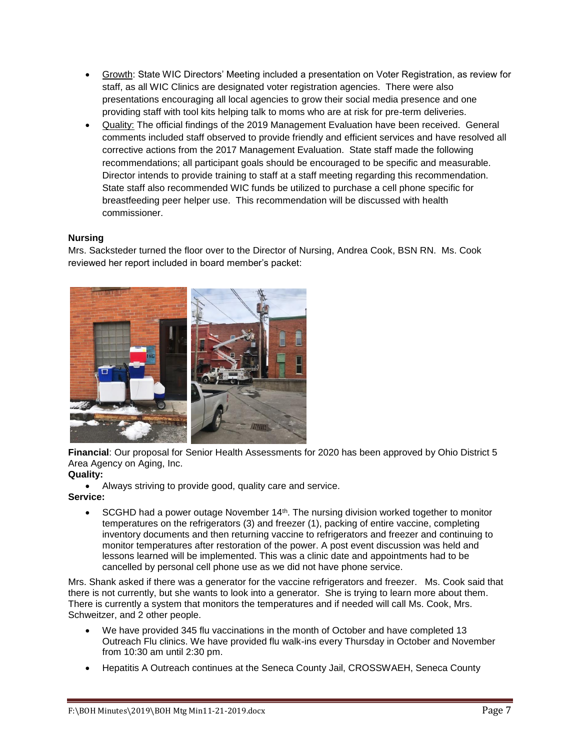- Growth: State WIC Directors' Meeting included a presentation on Voter Registration, as review for staff, as all WIC Clinics are designated voter registration agencies. There were also presentations encouraging all local agencies to grow their social media presence and one providing staff with tool kits helping talk to moms who are at risk for pre-term deliveries.
- Quality: The official findings of the 2019 Management Evaluation have been received. General comments included staff observed to provide friendly and efficient services and have resolved all corrective actions from the 2017 Management Evaluation. State staff made the following recommendations; all participant goals should be encouraged to be specific and measurable. Director intends to provide training to staff at a staff meeting regarding this recommendation. State staff also recommended WIC funds be utilized to purchase a cell phone specific for breastfeeding peer helper use. This recommendation will be discussed with health commissioner.

# **Nursing**

Mrs. Sacksteder turned the floor over to the Director of Nursing, Andrea Cook, BSN RN. Ms. Cook reviewed her report included in board member's packet:



**Financial**: Our proposal for Senior Health Assessments for 2020 has been approved by Ohio District 5 Area Agency on Aging, Inc.

# **Quality:**

Always striving to provide good, quality care and service.

**Service:**

 $\bullet$  SCGHD had a power outage November 14<sup>th</sup>. The nursing division worked together to monitor temperatures on the refrigerators (3) and freezer (1), packing of entire vaccine, completing inventory documents and then returning vaccine to refrigerators and freezer and continuing to monitor temperatures after restoration of the power. A post event discussion was held and lessons learned will be implemented. This was a clinic date and appointments had to be cancelled by personal cell phone use as we did not have phone service.

Mrs. Shank asked if there was a generator for the vaccine refrigerators and freezer. Ms. Cook said that there is not currently, but she wants to look into a generator. She is trying to learn more about them. There is currently a system that monitors the temperatures and if needed will call Ms. Cook, Mrs. Schweitzer, and 2 other people.

- We have provided 345 flu vaccinations in the month of October and have completed 13 Outreach Flu clinics. We have provided flu walk-ins every Thursday in October and November from 10:30 am until 2:30 pm.
- Hepatitis A Outreach continues at the Seneca County Jail, CROSSWAEH, Seneca County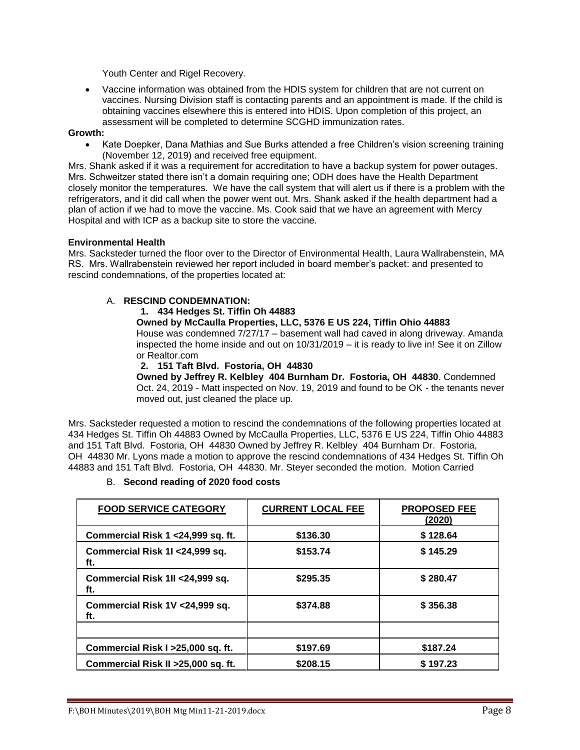Youth Center and Rigel Recovery.

 Vaccine information was obtained from the HDIS system for children that are not current on vaccines. Nursing Division staff is contacting parents and an appointment is made. If the child is obtaining vaccines elsewhere this is entered into HDIS. Upon completion of this project, an assessment will be completed to determine SCGHD immunization rates.

### **Growth:**

 Kate Doepker, Dana Mathias and Sue Burks attended a free Children's vision screening training (November 12, 2019) and received free equipment.

Mrs. Shank asked if it was a requirement for accreditation to have a backup system for power outages. Mrs. Schweitzer stated there isn't a domain requiring one; ODH does have the Health Department closely monitor the temperatures. We have the call system that will alert us if there is a problem with the refrigerators, and it did call when the power went out. Mrs. Shank asked if the health department had a plan of action if we had to move the vaccine. Ms. Cook said that we have an agreement with Mercy Hospital and with ICP as a backup site to store the vaccine.

# **Environmental Health**

Mrs. Sacksteder turned the floor over to the Director of Environmental Health, Laura Wallrabenstein, MA RS. Mrs. Wallrabenstein reviewed her report included in board member's packet: and presented to rescind condemnations, of the properties located at:

# A. **RESCIND CONDEMNATION:**

**1. 434 Hedges St. Tiffin Oh 44883**

# **Owned by McCaulla Properties, LLC, 5376 E US 224, Tiffin Ohio 44883**

House was condemned 7/27/17 – basement wall had caved in along driveway. Amanda inspected the home inside and out on 10/31/2019 – it is ready to live in! See it on Zillow or Realtor.com

# **2. 151 Taft Blvd. Fostoria, OH 44830**

**Owned by Jeffrey R. Kelbley 404 Burnham Dr. Fostoria, OH 44830**. Condemned Oct. 24, 2019 - Matt inspected on Nov. 19, 2019 and found to be OK - the tenants never moved out, just cleaned the place up.

Mrs. Sacksteder requested a motion to rescind the condemnations of the following properties located at 434 Hedges St. Tiffin Oh 44883 Owned by McCaulla Properties, LLC, 5376 E US 224, Tiffin Ohio 44883 and 151 Taft Blvd. Fostoria, OH 44830 Owned by Jeffrey R. Kelbley 404 Burnham Dr. Fostoria, OH 44830 Mr. Lyons made a motion to approve the rescind condemnations of 434 Hedges St. Tiffin Oh 44883 and 151 Taft Blvd. Fostoria, OH 44830. Mr. Steyer seconded the motion. Motion Carried

# B. **Second reading of 2020 food costs**

| <b>FOOD SERVICE CATEGORY</b>            | <b>CURRENT LOCAL FEE</b> | <b>PROPOSED FEE</b><br>(2020) |
|-----------------------------------------|--------------------------|-------------------------------|
| Commercial Risk 1 < 24,999 sq. ft.      | \$136.30                 | \$128.64                      |
| Commercial Risk 1I < 24,999 sq.<br>ft.  | \$153.74                 | \$145.29                      |
| Commercial Risk 1II < 24,999 sq.<br>ft. | \$295.35                 | \$280.47                      |
| Commercial Risk 1V < 24,999 sq.<br>ft.  | \$374.88                 | \$356.38                      |
|                                         |                          |                               |
| Commercial Risk I > 25,000 sq. ft.      | \$197.69                 | \$187.24                      |
| Commercial Risk II > 25,000 sq. ft.     | \$208.15                 | \$197.23                      |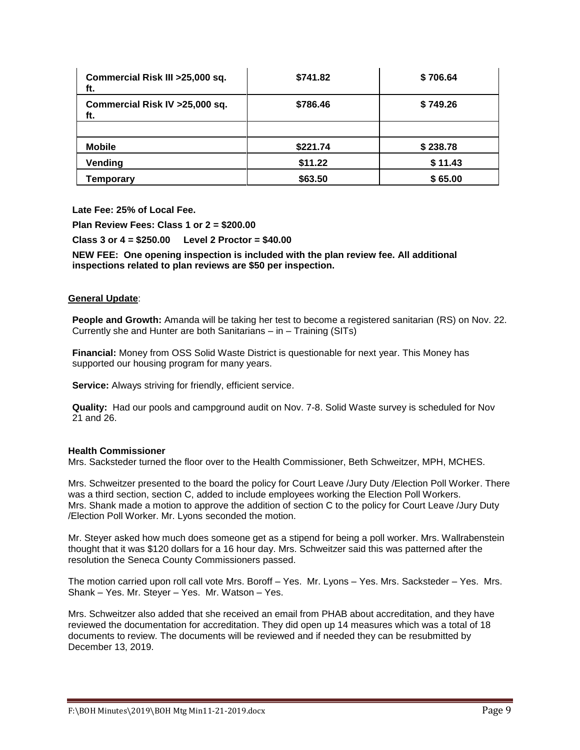| Commercial Risk III > 25,000 sq.<br>ft. | \$741.82 | \$706.64 |
|-----------------------------------------|----------|----------|
| Commercial Risk IV > 25,000 sq.<br>ft.  | \$786.46 | \$749.26 |
|                                         |          |          |
| <b>Mobile</b>                           | \$221.74 | \$238.78 |
| Vending                                 | \$11.22  | \$11.43  |
| Temporary                               | \$63.50  | \$65.00  |

**Late Fee: 25% of Local Fee.**

**Plan Review Fees: Class 1 or 2 = \$200.00**

**Class 3 or 4 = \$250.00 Level 2 Proctor = \$40.00**

**NEW FEE: One opening inspection is included with the plan review fee. All additional inspections related to plan reviews are \$50 per inspection.**

# **General Update**:

**People and Growth:** Amanda will be taking her test to become a registered sanitarian (RS) on Nov. 22. Currently she and Hunter are both Sanitarians – in – Training (SITs)

**Financial:** Money from OSS Solid Waste District is questionable for next year. This Money has supported our housing program for many years.

**Service:** Always striving for friendly, efficient service.

**Quality:** Had our pools and campground audit on Nov. 7-8. Solid Waste survey is scheduled for Nov 21 and 26.

### **Health Commissioner**

Mrs. Sacksteder turned the floor over to the Health Commissioner, Beth Schweitzer, MPH, MCHES.

Mrs. Schweitzer presented to the board the policy for Court Leave /Jury Duty /Election Poll Worker. There was a third section, section C, added to include employees working the Election Poll Workers. Mrs. Shank made a motion to approve the addition of section C to the policy for Court Leave /Jury Duty /Election Poll Worker. Mr. Lyons seconded the motion.

Mr. Steyer asked how much does someone get as a stipend for being a poll worker. Mrs. Wallrabenstein thought that it was \$120 dollars for a 16 hour day. Mrs. Schweitzer said this was patterned after the resolution the Seneca County Commissioners passed.

The motion carried upon roll call vote Mrs. Boroff – Yes. Mr. Lyons – Yes. Mrs. Sacksteder – Yes. Mrs. Shank – Yes. Mr. Steyer – Yes. Mr. Watson – Yes.

Mrs. Schweitzer also added that she received an email from PHAB about accreditation, and they have reviewed the documentation for accreditation. They did open up 14 measures which was a total of 18 documents to review. The documents will be reviewed and if needed they can be resubmitted by December 13, 2019.